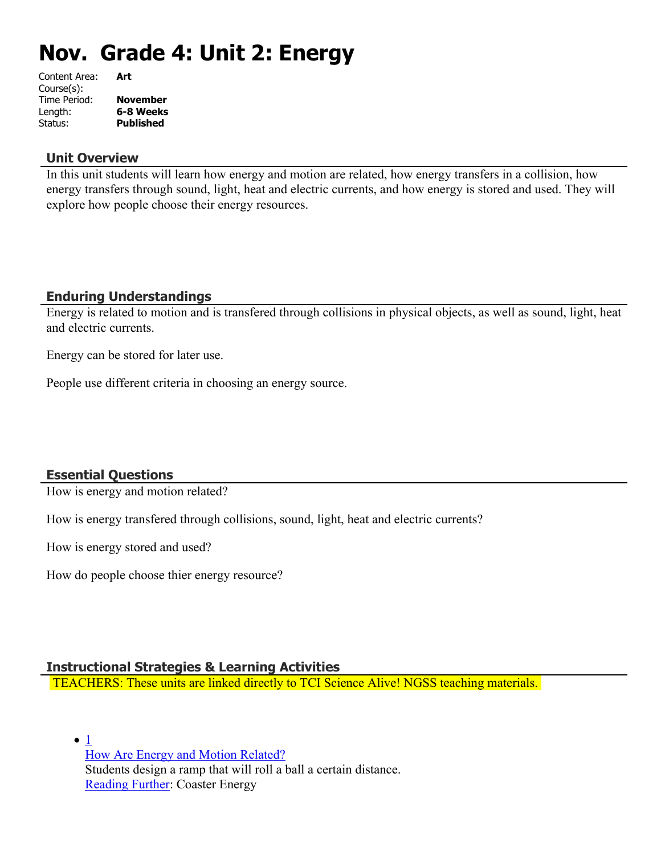# **Nov. Grade 4: Unit 2: Energy**

| Content Area: | Art              |
|---------------|------------------|
| Course(s):    |                  |
| Time Period:  | <b>November</b>  |
| Length:       | 6-8 Weeks        |
| Status:       | <b>Published</b> |
|               |                  |

#### **Unit Overview**

In this unit students will learn how energy and motion are related, how energy transfers in a collision, how energy transfers through sound, light, heat and electric currents, and how energy is stored and used. They will explore how people choose their energy resources.

# **Enduring Understandings**

Energy is related to motion and is transfered through collisions in physical objects, as well as sound, light, heat and electric currents.

Energy can be stored for later use.

People use different criteria in choosing an energy source.

# **Essential Questions**

How is energy and motion related?

How is energy transfered through collisions, sound, light, heat and electric currents?

How is energy stored and used?

How do people choose thier energy resource?

#### **Instructional Strategies & Learning Activities**

TEACHERS: These units are linked directly to TCI Science Alive! NGSS teaching materials.

 $\bullet$  [1](https://subscriptions.teachtci.com/shared/programs/155/lessons/1517/slide_shows) [How Are Energy and Motion Related?](https://subscriptions.teachtci.com/shared/programs/155/lessons/1517/slide_shows) Students design a ramp that will roll a ball a certain distance. [Reading Further](https://subscriptions.teachtci.com/shared/sections/11665?program_id=155&student_view=true): Coaster Energy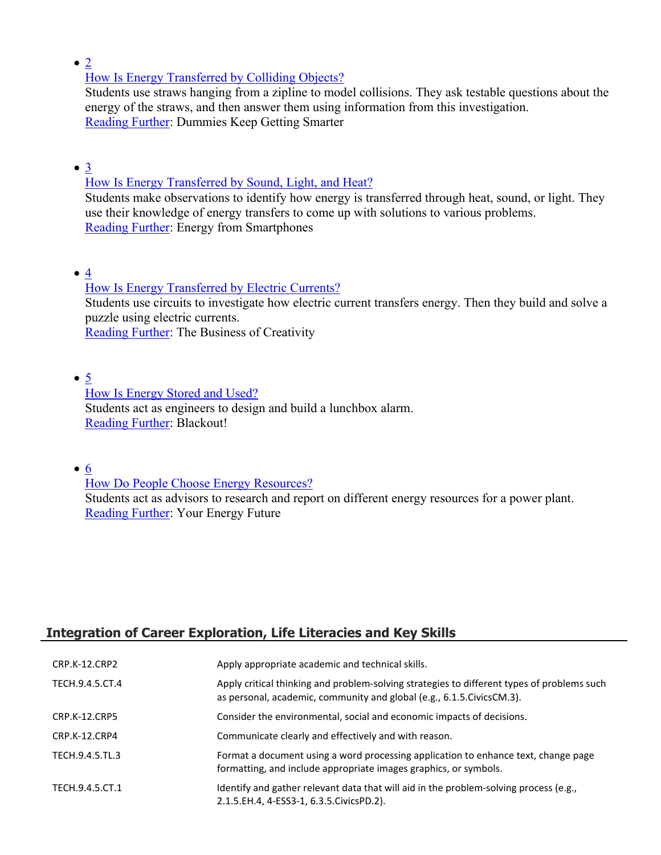$\bullet$  [2](https://subscriptions.teachtci.com/shared/programs/155/lessons/1518/slide_shows)

[How Is Energy Transferred by Colliding Objects?](https://subscriptions.teachtci.com/shared/programs/155/lessons/1518/slide_shows)

Students use straws hanging from a zipline to model collisions. They ask testable questions about the energy of the straws, and then answer them using information from this investigation. [Reading Further](https://subscriptions.teachtci.com/shared/sections/11797?program_id=155&student_view=true): Dummies Keep Getting Smarter

[3](https://subscriptions.teachtci.com/shared/programs/155/lessons/1519/slide_shows)

[How Is Energy Transferred by Sound, Light, and Heat?](https://subscriptions.teachtci.com/shared/programs/155/lessons/1519/slide_shows)

Students make observations to identify how energy is transferred through heat, sound, or light. They use their knowledge of energy transfers to come up with solutions to various problems. [Reading Further](https://subscriptions.teachtci.com/shared/sections/11855?program_id=155&student_view=true): Energy from Smartphones

 $• 4$  $• 4$ 

[How Is Energy Transferred by Electric Currents?](https://subscriptions.teachtci.com/shared/programs/155/lessons/1520/slide_shows) Students use circuits to investigate how electric current transfers energy. Then they build and solve a puzzle using electric currents. [Reading Further](https://subscriptions.teachtci.com/shared/sections/11931?program_id=155&student_view=true): The Business of Creativity

 $\bullet$  [5](https://subscriptions.teachtci.com/shared/programs/155/lessons/1521/slide_shows)

[How Is Energy Stored and Used?](https://subscriptions.teachtci.com/shared/programs/155/lessons/1521/slide_shows) Students act as engineers to design and build a lunchbox alarm. [Reading Further](https://subscriptions.teachtci.com/shared/sections/12001?program_id=155&student_view=true): Blackout!

 $\bullet$  [6](https://subscriptions.teachtci.com/shared/programs/155/lessons/1522/slide_shows)

[How Do People Choose Energy Resources?](https://subscriptions.teachtci.com/shared/programs/155/lessons/1522/slide_shows)

Students act as advisors to research and report on different energy resources for a power plant. [Reading Further](https://subscriptions.teachtci.com/shared/sections/12041?program_id=155&student_view=true): Your Energy Future

# **Integration of Career Exploration, Life Literacies and Key Skills**

| CRP.K-12.CRP2   | Apply appropriate academic and technical skills.                                                                                                                      |
|-----------------|-----------------------------------------------------------------------------------------------------------------------------------------------------------------------|
| TECH.9.4.5.CT.4 | Apply critical thinking and problem-solving strategies to different types of problems such<br>as personal, academic, community and global (e.g., 6.1.5. Civics CM.3). |
| CRP.K-12.CRP5   | Consider the environmental, social and economic impacts of decisions.                                                                                                 |
| CRP.K-12.CRP4   | Communicate clearly and effectively and with reason.                                                                                                                  |
| TECH.9.4.5.TL.3 | Format a document using a word processing application to enhance text, change page<br>formatting, and include appropriate images graphics, or symbols.                |
| TECH.9.4.5.CT.1 | Identify and gather relevant data that will aid in the problem-solving process (e.g.,<br>2.1.5.EH.4, 4-ESS3-1, 6.3.5.CivicsPD.2).                                     |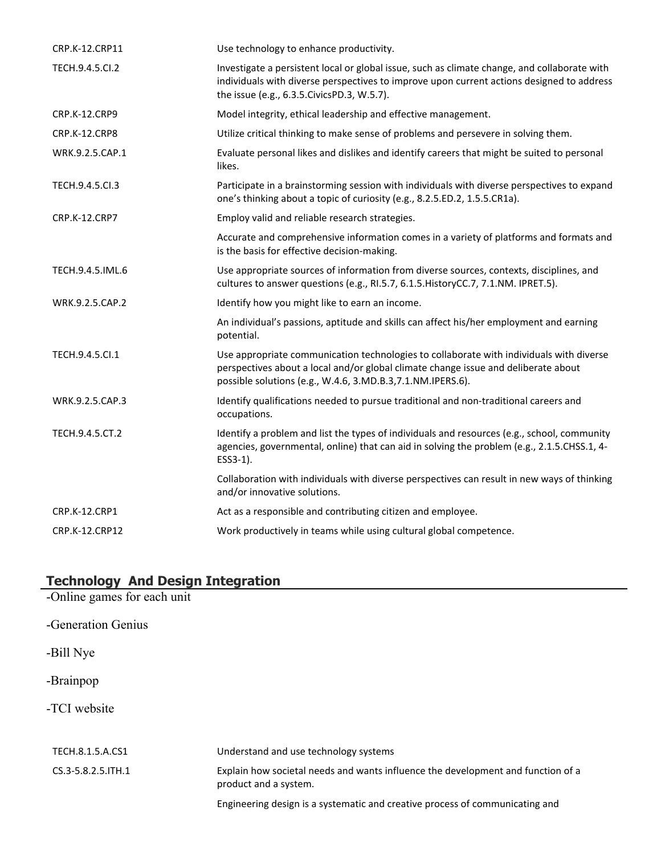| CRP.K-12.CRP11   | Use technology to enhance productivity.                                                                                                                                                                                                      |
|------------------|----------------------------------------------------------------------------------------------------------------------------------------------------------------------------------------------------------------------------------------------|
| TECH.9.4.5.Cl.2  | Investigate a persistent local or global issue, such as climate change, and collaborate with<br>individuals with diverse perspectives to improve upon current actions designed to address<br>the issue (e.g., 6.3.5. Civics PD.3, W.5.7).    |
| CRP.K-12.CRP9    | Model integrity, ethical leadership and effective management.                                                                                                                                                                                |
| CRP.K-12.CRP8    | Utilize critical thinking to make sense of problems and persevere in solving them.                                                                                                                                                           |
| WRK.9.2.5.CAP.1  | Evaluate personal likes and dislikes and identify careers that might be suited to personal<br>likes.                                                                                                                                         |
| TECH.9.4.5.Cl.3  | Participate in a brainstorming session with individuals with diverse perspectives to expand<br>one's thinking about a topic of curiosity (e.g., 8.2.5.ED.2, 1.5.5.CR1a).                                                                     |
| CRP.K-12.CRP7    | Employ valid and reliable research strategies.                                                                                                                                                                                               |
|                  | Accurate and comprehensive information comes in a variety of platforms and formats and<br>is the basis for effective decision-making.                                                                                                        |
| TECH.9.4.5.IML.6 | Use appropriate sources of information from diverse sources, contexts, disciplines, and<br>cultures to answer questions (e.g., RI.5.7, 6.1.5. HistoryCC.7, 7.1.NM. IPRET.5).                                                                 |
| WRK.9.2.5.CAP.2  | Identify how you might like to earn an income.                                                                                                                                                                                               |
|                  | An individual's passions, aptitude and skills can affect his/her employment and earning<br>potential.                                                                                                                                        |
| TECH.9.4.5.Cl.1  | Use appropriate communication technologies to collaborate with individuals with diverse<br>perspectives about a local and/or global climate change issue and deliberate about<br>possible solutions (e.g., W.4.6, 3.MD.B.3, 7.1.NM.IPERS.6). |
| WRK.9.2.5.CAP.3  | Identify qualifications needed to pursue traditional and non-traditional careers and<br>occupations.                                                                                                                                         |
| TECH.9.4.5.CT.2  | Identify a problem and list the types of individuals and resources (e.g., school, community<br>agencies, governmental, online) that can aid in solving the problem (e.g., 2.1.5.CHSS.1, 4-<br>ESS3-1).                                       |
|                  | Collaboration with individuals with diverse perspectives can result in new ways of thinking<br>and/or innovative solutions.                                                                                                                  |
| CRP.K-12.CRP1    | Act as a responsible and contributing citizen and employee.                                                                                                                                                                                  |
| CRP.K-12.CRP12   | Work productively in teams while using cultural global competence.                                                                                                                                                                           |

# **Technology And Design Integration**

| -Online games for each unit |                                                                                                           |
|-----------------------------|-----------------------------------------------------------------------------------------------------------|
| -Generation Genius          |                                                                                                           |
| -Bill Nye                   |                                                                                                           |
| -Brainpop                   |                                                                                                           |
| -TCI website                |                                                                                                           |
| TECH.8.1.5.A.CS1            | Understand and use technology systems                                                                     |
| CS.3-5.8.2.5. ITH.1         | Explain how societal needs and wants influence the development and function of a<br>product and a system. |
|                             | Engineering design is a systematic and creative process of communicating and                              |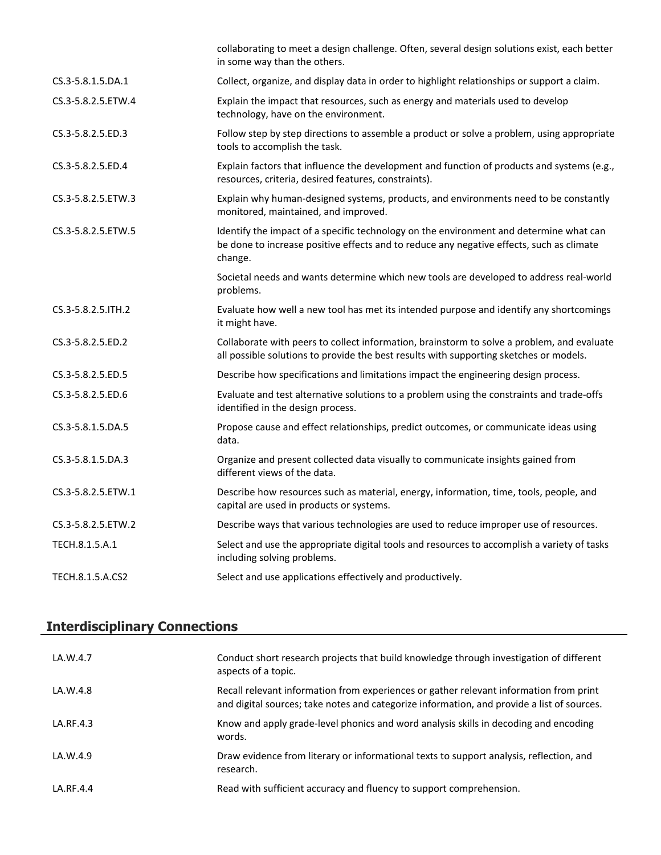|                    | collaborating to meet a design challenge. Often, several design solutions exist, each better<br>in some way than the others.                                                                  |
|--------------------|-----------------------------------------------------------------------------------------------------------------------------------------------------------------------------------------------|
| CS.3-5.8.1.5.DA.1  | Collect, organize, and display data in order to highlight relationships or support a claim.                                                                                                   |
| CS.3-5.8.2.5.ETW.4 | Explain the impact that resources, such as energy and materials used to develop<br>technology, have on the environment.                                                                       |
| CS.3-5.8.2.5.ED.3  | Follow step by step directions to assemble a product or solve a problem, using appropriate<br>tools to accomplish the task.                                                                   |
| CS.3-5.8.2.5.ED.4  | Explain factors that influence the development and function of products and systems (e.g.,<br>resources, criteria, desired features, constraints).                                            |
| CS.3-5.8.2.5.ETW.3 | Explain why human-designed systems, products, and environments need to be constantly<br>monitored, maintained, and improved.                                                                  |
| CS.3-5.8.2.5.ETW.5 | Identify the impact of a specific technology on the environment and determine what can<br>be done to increase positive effects and to reduce any negative effects, such as climate<br>change. |
|                    | Societal needs and wants determine which new tools are developed to address real-world<br>problems.                                                                                           |
| CS.3-5.8.2.5.ITH.2 | Evaluate how well a new tool has met its intended purpose and identify any shortcomings<br>it might have.                                                                                     |
| CS.3-5.8.2.5.ED.2  | Collaborate with peers to collect information, brainstorm to solve a problem, and evaluate<br>all possible solutions to provide the best results with supporting sketches or models.          |
| CS.3-5.8.2.5.ED.5  | Describe how specifications and limitations impact the engineering design process.                                                                                                            |
| CS.3-5.8.2.5.ED.6  | Evaluate and test alternative solutions to a problem using the constraints and trade-offs<br>identified in the design process.                                                                |
| CS.3-5.8.1.5.DA.5  | Propose cause and effect relationships, predict outcomes, or communicate ideas using<br>data.                                                                                                 |
| CS.3-5.8.1.5.DA.3  | Organize and present collected data visually to communicate insights gained from<br>different views of the data.                                                                              |
| CS.3-5.8.2.5.ETW.1 | Describe how resources such as material, energy, information, time, tools, people, and<br>capital are used in products or systems.                                                            |
| CS.3-5.8.2.5.ETW.2 | Describe ways that various technologies are used to reduce improper use of resources.                                                                                                         |
| TECH.8.1.5.A.1     | Select and use the appropriate digital tools and resources to accomplish a variety of tasks<br>including solving problems.                                                                    |
| TECH.8.1.5.A.CS2   | Select and use applications effectively and productively.                                                                                                                                     |

# **Interdisciplinary Connections**

| LA.W.4.7  | Conduct short research projects that build knowledge through investigation of different<br>aspects of a topic.                                                                       |
|-----------|--------------------------------------------------------------------------------------------------------------------------------------------------------------------------------------|
| LA.W.4.8  | Recall relevant information from experiences or gather relevant information from print<br>and digital sources; take notes and categorize information, and provide a list of sources. |
| LA.RF.4.3 | Know and apply grade-level phonics and word analysis skills in decoding and encoding<br>words.                                                                                       |
| LA.W.4.9  | Draw evidence from literary or informational texts to support analysis, reflection, and<br>research.                                                                                 |
| LA.RF.4.4 | Read with sufficient accuracy and fluency to support comprehension.                                                                                                                  |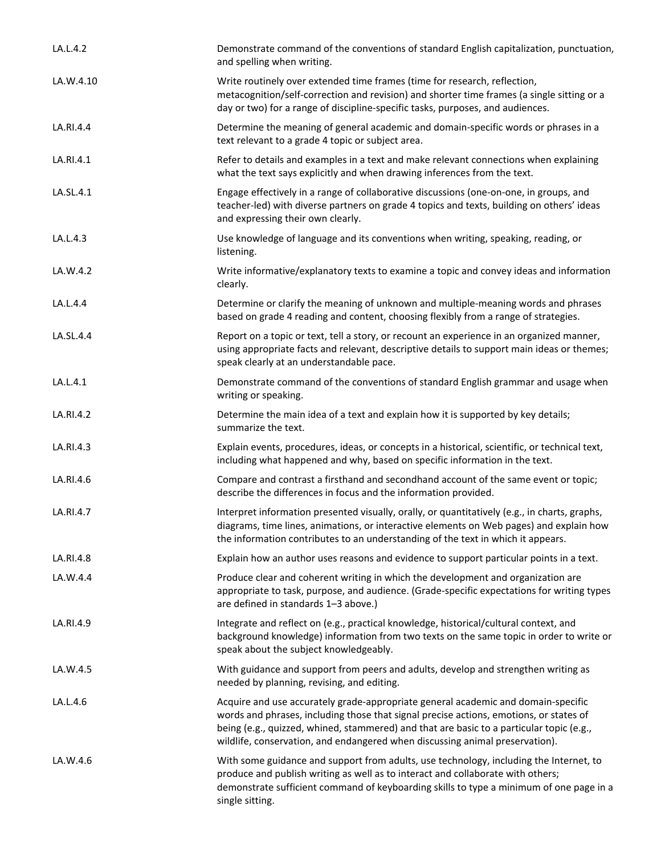| LA.L.4.2  | Demonstrate command of the conventions of standard English capitalization, punctuation,<br>and spelling when writing.                                                                                                                                                                                                                                   |
|-----------|---------------------------------------------------------------------------------------------------------------------------------------------------------------------------------------------------------------------------------------------------------------------------------------------------------------------------------------------------------|
| LA.W.4.10 | Write routinely over extended time frames (time for research, reflection,<br>metacognition/self-correction and revision) and shorter time frames (a single sitting or a<br>day or two) for a range of discipline-specific tasks, purposes, and audiences.                                                                                               |
| LA.RI.4.4 | Determine the meaning of general academic and domain-specific words or phrases in a<br>text relevant to a grade 4 topic or subject area.                                                                                                                                                                                                                |
| LA.RI.4.1 | Refer to details and examples in a text and make relevant connections when explaining<br>what the text says explicitly and when drawing inferences from the text.                                                                                                                                                                                       |
| LA.SL.4.1 | Engage effectively in a range of collaborative discussions (one-on-one, in groups, and<br>teacher-led) with diverse partners on grade 4 topics and texts, building on others' ideas<br>and expressing their own clearly.                                                                                                                                |
| LA.L.4.3  | Use knowledge of language and its conventions when writing, speaking, reading, or<br>listening.                                                                                                                                                                                                                                                         |
| LA.W.4.2  | Write informative/explanatory texts to examine a topic and convey ideas and information<br>clearly.                                                                                                                                                                                                                                                     |
| LA.L.4.4  | Determine or clarify the meaning of unknown and multiple-meaning words and phrases<br>based on grade 4 reading and content, choosing flexibly from a range of strategies.                                                                                                                                                                               |
| LA.SL.4.4 | Report on a topic or text, tell a story, or recount an experience in an organized manner,<br>using appropriate facts and relevant, descriptive details to support main ideas or themes;<br>speak clearly at an understandable pace.                                                                                                                     |
| LA.L.4.1  | Demonstrate command of the conventions of standard English grammar and usage when<br>writing or speaking.                                                                                                                                                                                                                                               |
| LA.RI.4.2 | Determine the main idea of a text and explain how it is supported by key details;<br>summarize the text.                                                                                                                                                                                                                                                |
| LA.RI.4.3 | Explain events, procedures, ideas, or concepts in a historical, scientific, or technical text,<br>including what happened and why, based on specific information in the text.                                                                                                                                                                           |
| LA.RI.4.6 | Compare and contrast a firsthand and secondhand account of the same event or topic;<br>describe the differences in focus and the information provided.                                                                                                                                                                                                  |
| LA.RI.4.7 | Interpret information presented visually, orally, or quantitatively (e.g., in charts, graphs,<br>diagrams, time lines, animations, or interactive elements on Web pages) and explain how<br>the information contributes to an understanding of the text in which it appears.                                                                            |
| LA.RI.4.8 | Explain how an author uses reasons and evidence to support particular points in a text.                                                                                                                                                                                                                                                                 |
| LA.W.4.4  | Produce clear and coherent writing in which the development and organization are<br>appropriate to task, purpose, and audience. (Grade-specific expectations for writing types<br>are defined in standards 1-3 above.)                                                                                                                                  |
| LA.RI.4.9 | Integrate and reflect on (e.g., practical knowledge, historical/cultural context, and<br>background knowledge) information from two texts on the same topic in order to write or<br>speak about the subject knowledgeably.                                                                                                                              |
| LA.W.4.5  | With guidance and support from peers and adults, develop and strengthen writing as<br>needed by planning, revising, and editing.                                                                                                                                                                                                                        |
| LA.L.4.6  | Acquire and use accurately grade-appropriate general academic and domain-specific<br>words and phrases, including those that signal precise actions, emotions, or states of<br>being (e.g., quizzed, whined, stammered) and that are basic to a particular topic (e.g.,<br>wildlife, conservation, and endangered when discussing animal preservation). |
| LA.W.4.6  | With some guidance and support from adults, use technology, including the Internet, to<br>produce and publish writing as well as to interact and collaborate with others;<br>demonstrate sufficient command of keyboarding skills to type a minimum of one page in a<br>single sitting.                                                                 |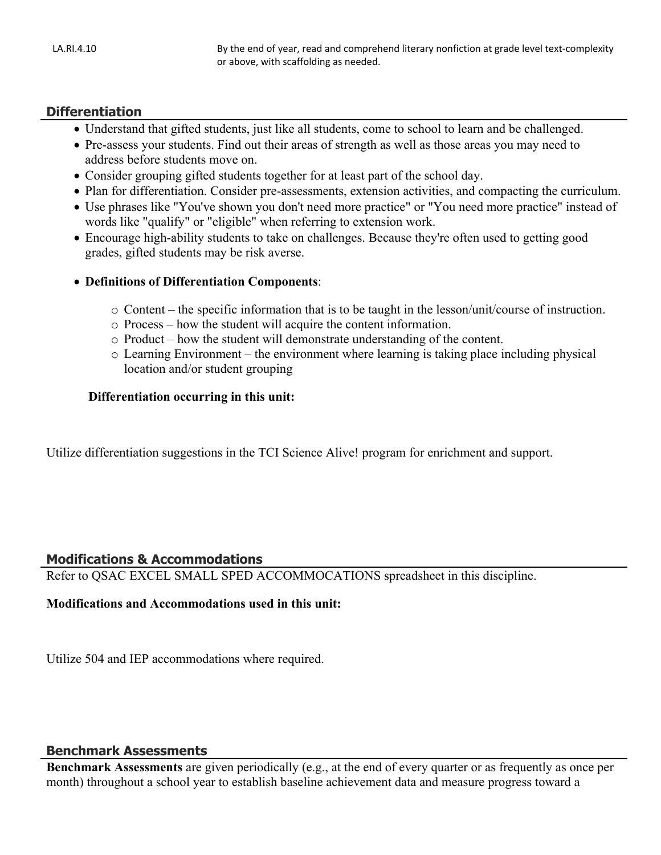#### **Differentiation**

- Understand that gifted students, just like all students, come to school to learn and be challenged.
- Pre-assess your students. Find out their areas of strength as well as those areas you may need to address before students move on.
- Consider grouping gifted students together for at least part of the school day.
- Plan for differentiation. Consider pre-assessments, extension activities, and compacting the curriculum.
- Use phrases like "You've shown you don't need more practice" or "You need more practice" instead of words like "qualify" or "eligible" when referring to extension work.
- Encourage high-ability students to take on challenges. Because they're often used to getting good grades, gifted students may be risk averse.
- **Definitions of Differentiation Components**:
	- o Content the specific information that is to be taught in the lesson/unit/course of instruction.
	- o Process how the student will acquire the content information.
	- o Product how the student will demonstrate understanding of the content.
	- o Learning Environment the environment where learning is taking place including physical location and/or student grouping

#### **Differentiation occurring in this unit:**

Utilize differentiation suggestions in the TCI Science Alive! program for enrichment and support.

#### **Modifications & Accommodations**

Refer to QSAC EXCEL SMALL SPED ACCOMMOCATIONS spreadsheet in this discipline.

#### **Modifications and Accommodations used in this unit:**

Utilize 504 and IEP accommodations where required.

#### **Benchmark Assessments**

**Benchmark Assessments** are given periodically (e.g., at the end of every quarter or as frequently as once per month) throughout a school year to establish baseline achievement data and measure progress toward a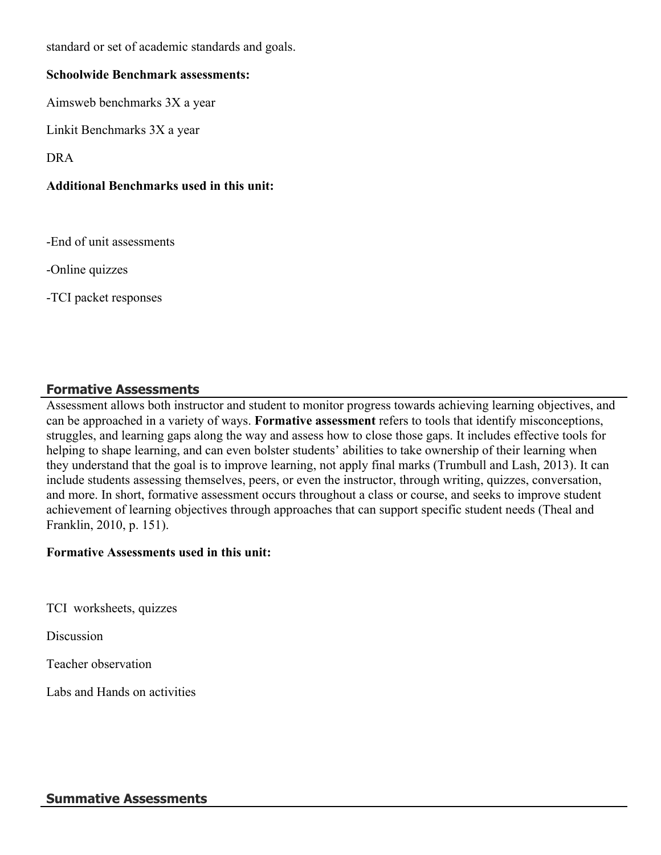standard or set of academic standards and goals.

#### **Schoolwide Benchmark assessments:**

Aimsweb benchmarks 3X a year

Linkit Benchmarks 3X a year

DRA

# **Additional Benchmarks used in this unit:**

-End of unit assessments

-Online quizzes

-TCI packet responses

# **Formative Assessments**

Assessment allows both instructor and student to monitor progress towards achieving learning objectives, and can be approached in a variety of ways. **Formative assessment** refers to tools that identify misconceptions, struggles, and learning gaps along the way and assess how to close those gaps. It includes effective tools for helping to shape learning, and can even bolster students' abilities to take ownership of their learning when they understand that the goal is to improve learning, not apply final marks (Trumbull and Lash, 2013). It can include students assessing themselves, peers, or even the instructor, through writing, quizzes, conversation, and more. In short, formative assessment occurs throughout a class or course, and seeks to improve student achievement of learning objectives through approaches that can support specific student needs (Theal and Franklin, 2010, p. 151).

#### **Formative Assessments used in this unit:**

TCI worksheets, quizzes

**Discussion** 

Teacher observation

Labs and Hands on activities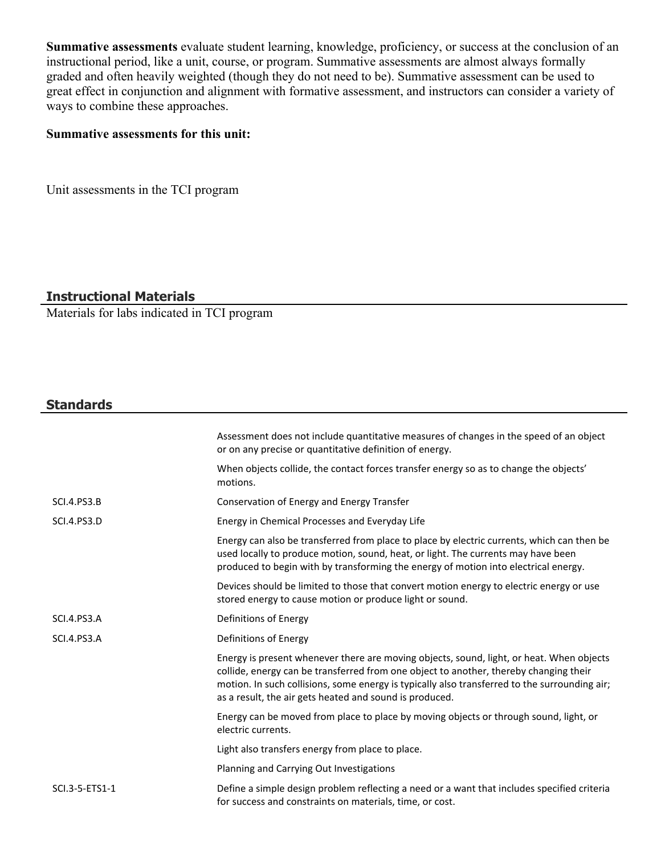**Summative assessments** evaluate student learning, knowledge, proficiency, or success at the conclusion of an instructional period, like a unit, course, or program. Summative assessments are almost always formally graded and often heavily weighted (though they do not need to be). Summative assessment can be used to great effect in conjunction and alignment with formative assessment, and instructors can consider a variety of ways to combine these approaches.

#### **Summative assessments for this unit:**

Unit assessments in the TCI program

#### **Instructional Materials**

Materials for labs indicated in TCI program

### **Standards**

|                    | Assessment does not include quantitative measures of changes in the speed of an object<br>or on any precise or quantitative definition of energy.                                                                                                                                                                                             |
|--------------------|-----------------------------------------------------------------------------------------------------------------------------------------------------------------------------------------------------------------------------------------------------------------------------------------------------------------------------------------------|
|                    | When objects collide, the contact forces transfer energy so as to change the objects'<br>motions.                                                                                                                                                                                                                                             |
| <b>SCI.4.PS3.B</b> | Conservation of Energy and Energy Transfer                                                                                                                                                                                                                                                                                                    |
| <b>SCI.4.PS3.D</b> | Energy in Chemical Processes and Everyday Life                                                                                                                                                                                                                                                                                                |
|                    | Energy can also be transferred from place to place by electric currents, which can then be<br>used locally to produce motion, sound, heat, or light. The currents may have been<br>produced to begin with by transforming the energy of motion into electrical energy.                                                                        |
|                    | Devices should be limited to those that convert motion energy to electric energy or use<br>stored energy to cause motion or produce light or sound.                                                                                                                                                                                           |
| <b>SCI.4.PS3.A</b> | Definitions of Energy                                                                                                                                                                                                                                                                                                                         |
| <b>SCI.4.PS3.A</b> | Definitions of Energy                                                                                                                                                                                                                                                                                                                         |
|                    | Energy is present whenever there are moving objects, sound, light, or heat. When objects<br>collide, energy can be transferred from one object to another, thereby changing their<br>motion. In such collisions, some energy is typically also transferred to the surrounding air;<br>as a result, the air gets heated and sound is produced. |
|                    | Energy can be moved from place to place by moving objects or through sound, light, or<br>electric currents.                                                                                                                                                                                                                                   |
|                    | Light also transfers energy from place to place.                                                                                                                                                                                                                                                                                              |
|                    | Planning and Carrying Out Investigations                                                                                                                                                                                                                                                                                                      |
| SCI.3-5-ETS1-1     | Define a simple design problem reflecting a need or a want that includes specified criteria<br>for success and constraints on materials, time, or cost.                                                                                                                                                                                       |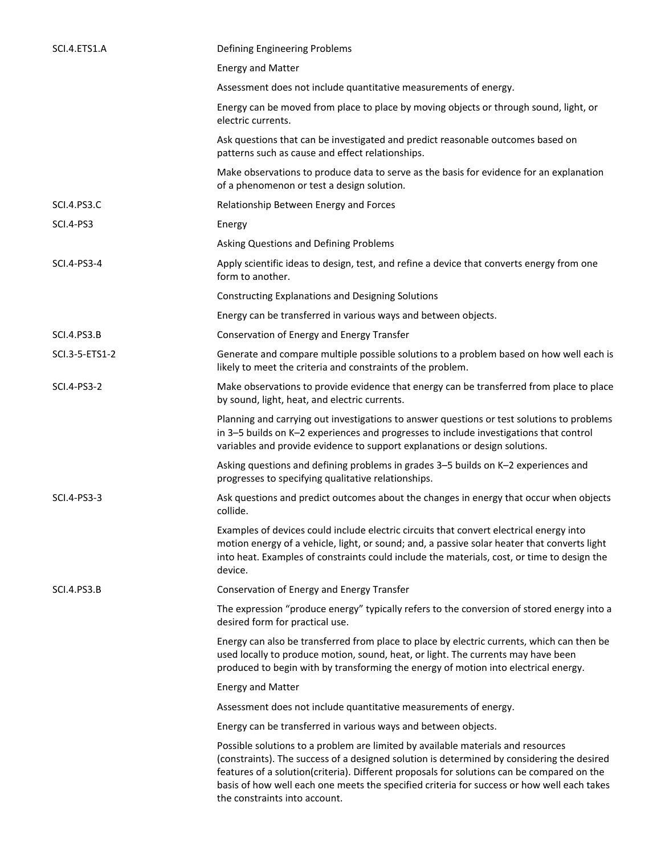| SCI.4.ETS1.A       | Defining Engineering Problems                                                                                                                                                                                                                                                                                                                                                                               |
|--------------------|-------------------------------------------------------------------------------------------------------------------------------------------------------------------------------------------------------------------------------------------------------------------------------------------------------------------------------------------------------------------------------------------------------------|
|                    | <b>Energy and Matter</b>                                                                                                                                                                                                                                                                                                                                                                                    |
|                    | Assessment does not include quantitative measurements of energy.                                                                                                                                                                                                                                                                                                                                            |
|                    | Energy can be moved from place to place by moving objects or through sound, light, or<br>electric currents.                                                                                                                                                                                                                                                                                                 |
|                    | Ask questions that can be investigated and predict reasonable outcomes based on<br>patterns such as cause and effect relationships.                                                                                                                                                                                                                                                                         |
|                    | Make observations to produce data to serve as the basis for evidence for an explanation<br>of a phenomenon or test a design solution.                                                                                                                                                                                                                                                                       |
| <b>SCI.4.PS3.C</b> | Relationship Between Energy and Forces                                                                                                                                                                                                                                                                                                                                                                      |
| SCI.4-PS3          | Energy                                                                                                                                                                                                                                                                                                                                                                                                      |
|                    | Asking Questions and Defining Problems                                                                                                                                                                                                                                                                                                                                                                      |
| SCI.4-PS3-4        | Apply scientific ideas to design, test, and refine a device that converts energy from one<br>form to another.                                                                                                                                                                                                                                                                                               |
|                    | <b>Constructing Explanations and Designing Solutions</b>                                                                                                                                                                                                                                                                                                                                                    |
|                    | Energy can be transferred in various ways and between objects.                                                                                                                                                                                                                                                                                                                                              |
| <b>SCI.4.PS3.B</b> | Conservation of Energy and Energy Transfer                                                                                                                                                                                                                                                                                                                                                                  |
| SCI.3-5-ETS1-2     | Generate and compare multiple possible solutions to a problem based on how well each is<br>likely to meet the criteria and constraints of the problem.                                                                                                                                                                                                                                                      |
| SCI.4-PS3-2        | Make observations to provide evidence that energy can be transferred from place to place<br>by sound, light, heat, and electric currents.                                                                                                                                                                                                                                                                   |
|                    | Planning and carrying out investigations to answer questions or test solutions to problems<br>in 3-5 builds on K-2 experiences and progresses to include investigations that control<br>variables and provide evidence to support explanations or design solutions.                                                                                                                                         |
|                    | Asking questions and defining problems in grades 3-5 builds on K-2 experiences and<br>progresses to specifying qualitative relationships.                                                                                                                                                                                                                                                                   |
| SCI.4-PS3-3        | Ask questions and predict outcomes about the changes in energy that occur when objects<br>collide.                                                                                                                                                                                                                                                                                                          |
|                    | Examples of devices could include electric circuits that convert electrical energy into<br>motion energy of a vehicle, light, or sound; and, a passive solar heater that converts light<br>into heat. Examples of constraints could include the materials, cost, or time to design the<br>device.                                                                                                           |
| <b>SCI.4.PS3.B</b> | Conservation of Energy and Energy Transfer                                                                                                                                                                                                                                                                                                                                                                  |
|                    | The expression "produce energy" typically refers to the conversion of stored energy into a<br>desired form for practical use.                                                                                                                                                                                                                                                                               |
|                    | Energy can also be transferred from place to place by electric currents, which can then be<br>used locally to produce motion, sound, heat, or light. The currents may have been<br>produced to begin with by transforming the energy of motion into electrical energy.                                                                                                                                      |
|                    | <b>Energy and Matter</b>                                                                                                                                                                                                                                                                                                                                                                                    |
|                    | Assessment does not include quantitative measurements of energy.                                                                                                                                                                                                                                                                                                                                            |
|                    | Energy can be transferred in various ways and between objects.                                                                                                                                                                                                                                                                                                                                              |
|                    | Possible solutions to a problem are limited by available materials and resources<br>(constraints). The success of a designed solution is determined by considering the desired<br>features of a solution(criteria). Different proposals for solutions can be compared on the<br>basis of how well each one meets the specified criteria for success or how well each takes<br>the constraints into account. |